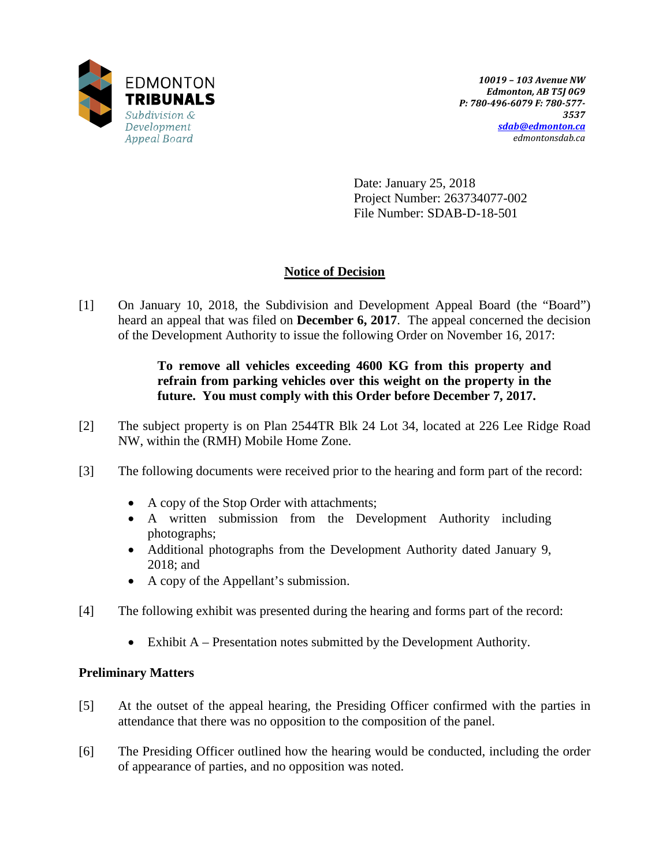

Date: January 25, 2018 Project Number: 263734077-002 File Number: SDAB-D-18-501

# **Notice of Decision**

[1] On January 10, 2018, the Subdivision and Development Appeal Board (the "Board") heard an appeal that was filed on **December 6, 2017**. The appeal concerned the decision of the Development Authority to issue the following Order on November 16, 2017:

### **To remove all vehicles exceeding 4600 KG from this property and refrain from parking vehicles over this weight on the property in the future. You must comply with this Order before December 7, 2017.**

- [2] The subject property is on Plan 2544TR Blk 24 Lot 34, located at 226 Lee Ridge Road NW, within the (RMH) Mobile Home Zone.
- [3] The following documents were received prior to the hearing and form part of the record:
	- A copy of the Stop Order with attachments;
	- A written submission from the Development Authority including photographs;
	- Additional photographs from the Development Authority dated January 9, 2018; and
	- A copy of the Appellant's submission.
- [4] The following exhibit was presented during the hearing and forms part of the record:
	- Exhibit A Presentation notes submitted by the Development Authority.

#### **Preliminary Matters**

- [5] At the outset of the appeal hearing, the Presiding Officer confirmed with the parties in attendance that there was no opposition to the composition of the panel.
- [6] The Presiding Officer outlined how the hearing would be conducted, including the order of appearance of parties, and no opposition was noted.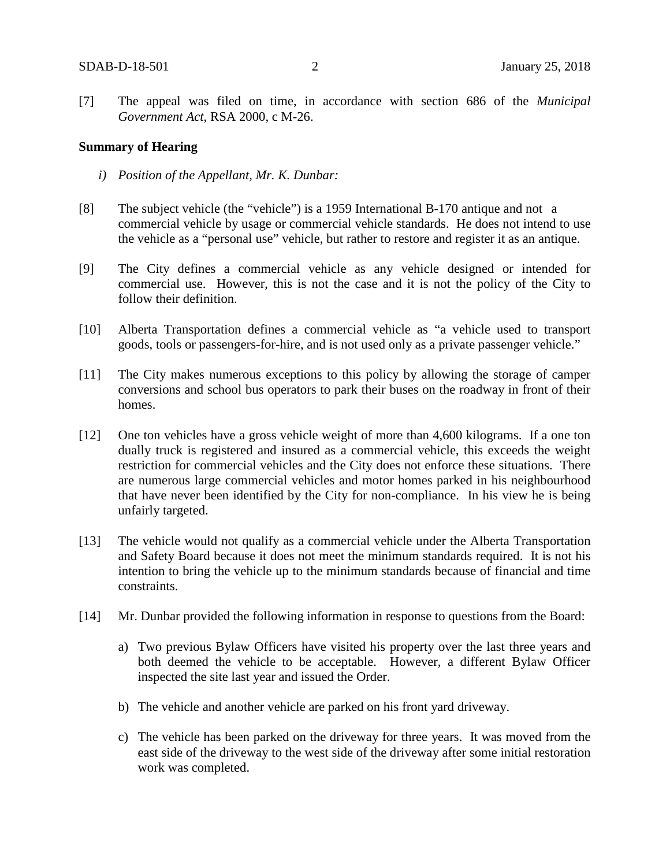[7] The appeal was filed on time, in accordance with section 686 of the *Municipal Government Act*, RSA 2000, c M-26.

#### **Summary of Hearing**

- *i) Position of the Appellant, Mr. K. Dunbar:*
- [8] The subject vehicle (the "vehicle") is a 1959 International B-170 antique and not a commercial vehicle by usage or commercial vehicle standards. He does not intend to use the vehicle as a "personal use" vehicle, but rather to restore and register it as an antique.
- [9] The City defines a commercial vehicle as any vehicle designed or intended for commercial use. However, this is not the case and it is not the policy of the City to follow their definition.
- [10] Alberta Transportation defines a commercial vehicle as "a vehicle used to transport goods, tools or passengers-for-hire, and is not used only as a private passenger vehicle."
- [11] The City makes numerous exceptions to this policy by allowing the storage of camper conversions and school bus operators to park their buses on the roadway in front of their homes.
- [12] One ton vehicles have a gross vehicle weight of more than 4,600 kilograms. If a one ton dually truck is registered and insured as a commercial vehicle, this exceeds the weight restriction for commercial vehicles and the City does not enforce these situations. There are numerous large commercial vehicles and motor homes parked in his neighbourhood that have never been identified by the City for non-compliance. In his view he is being unfairly targeted.
- [13] The vehicle would not qualify as a commercial vehicle under the Alberta Transportation and Safety Board because it does not meet the minimum standards required. It is not his intention to bring the vehicle up to the minimum standards because of financial and time constraints.
- [14] Mr. Dunbar provided the following information in response to questions from the Board:
	- a) Two previous Bylaw Officers have visited his property over the last three years and both deemed the vehicle to be acceptable. However, a different Bylaw Officer inspected the site last year and issued the Order.
	- b) The vehicle and another vehicle are parked on his front yard driveway.
	- c) The vehicle has been parked on the driveway for three years. It was moved from the east side of the driveway to the west side of the driveway after some initial restoration work was completed.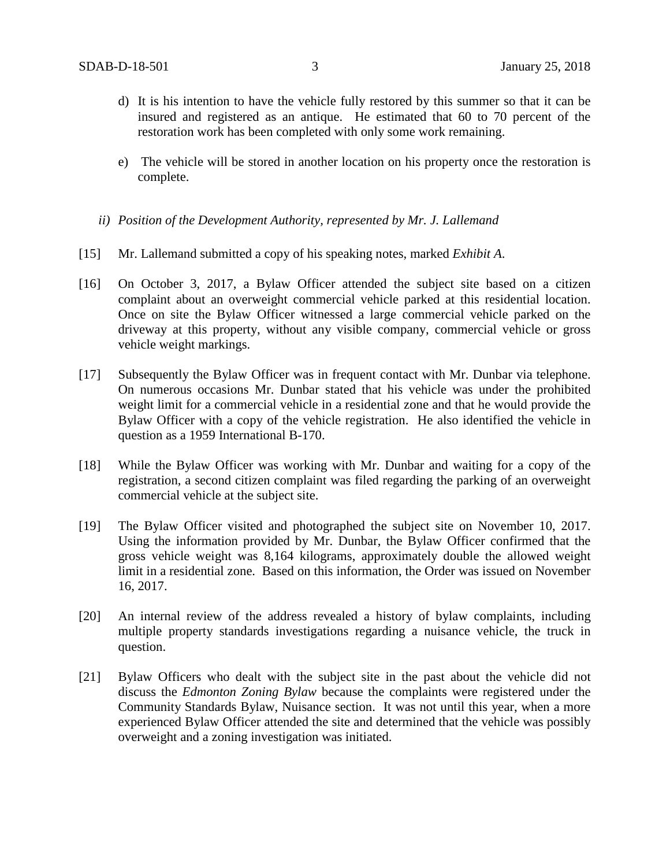- d) It is his intention to have the vehicle fully restored by this summer so that it can be insured and registered as an antique. He estimated that 60 to 70 percent of the restoration work has been completed with only some work remaining.
- e) The vehicle will be stored in another location on his property once the restoration is complete.
- *ii) Position of the Development Authority, represented by Mr. J. Lallemand*
- [15] Mr. Lallemand submitted a copy of his speaking notes, marked *Exhibit A*.
- [16] On October 3, 2017, a Bylaw Officer attended the subject site based on a citizen complaint about an overweight commercial vehicle parked at this residential location. Once on site the Bylaw Officer witnessed a large commercial vehicle parked on the driveway at this property, without any visible company, commercial vehicle or gross vehicle weight markings.
- [17] Subsequently the Bylaw Officer was in frequent contact with Mr. Dunbar via telephone. On numerous occasions Mr. Dunbar stated that his vehicle was under the prohibited weight limit for a commercial vehicle in a residential zone and that he would provide the Bylaw Officer with a copy of the vehicle registration. He also identified the vehicle in question as a 1959 International B-170.
- [18] While the Bylaw Officer was working with Mr. Dunbar and waiting for a copy of the registration, a second citizen complaint was filed regarding the parking of an overweight commercial vehicle at the subject site.
- [19] The Bylaw Officer visited and photographed the subject site on November 10, 2017. Using the information provided by Mr. Dunbar, the Bylaw Officer confirmed that the gross vehicle weight was 8,164 kilograms, approximately double the allowed weight limit in a residential zone. Based on this information, the Order was issued on November 16, 2017.
- [20] An internal review of the address revealed a history of bylaw complaints, including multiple property standards investigations regarding a nuisance vehicle, the truck in question.
- [21] Bylaw Officers who dealt with the subject site in the past about the vehicle did not discuss the *Edmonton Zoning Bylaw* because the complaints were registered under the Community Standards Bylaw, Nuisance section. It was not until this year, when a more experienced Bylaw Officer attended the site and determined that the vehicle was possibly overweight and a zoning investigation was initiated.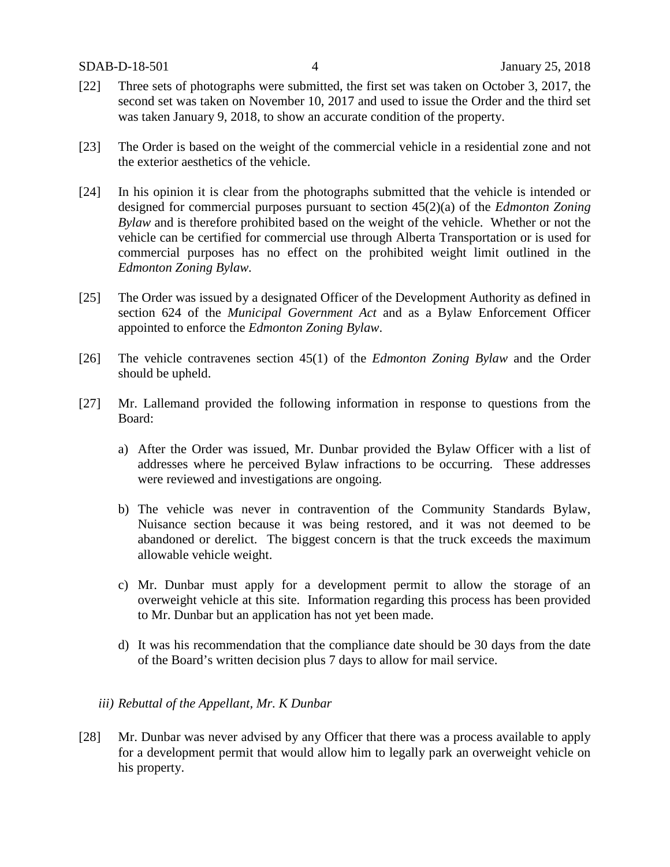- [22] Three sets of photographs were submitted, the first set was taken on October 3, 2017, the second set was taken on November 10, 2017 and used to issue the Order and the third set was taken January 9, 2018, to show an accurate condition of the property.
- [23] The Order is based on the weight of the commercial vehicle in a residential zone and not the exterior aesthetics of the vehicle.
- [24] In his opinion it is clear from the photographs submitted that the vehicle is intended or designed for commercial purposes pursuant to section 45(2)(a) of the *Edmonton Zoning Bylaw* and is therefore prohibited based on the weight of the vehicle. Whether or not the vehicle can be certified for commercial use through Alberta Transportation or is used for commercial purposes has no effect on the prohibited weight limit outlined in the *Edmonton Zoning Bylaw.*
- [25] The Order was issued by a designated Officer of the Development Authority as defined in section 624 of the *Municipal Government Act* and as a Bylaw Enforcement Officer appointed to enforce the *Edmonton Zoning Bylaw*.
- [26] The vehicle contravenes section 45(1) of the *Edmonton Zoning Bylaw* and the Order should be upheld.
- [27] Mr. Lallemand provided the following information in response to questions from the Board:
	- a) After the Order was issued, Mr. Dunbar provided the Bylaw Officer with a list of addresses where he perceived Bylaw infractions to be occurring. These addresses were reviewed and investigations are ongoing.
	- b) The vehicle was never in contravention of the Community Standards Bylaw, Nuisance section because it was being restored, and it was not deemed to be abandoned or derelict. The biggest concern is that the truck exceeds the maximum allowable vehicle weight.
	- c) Mr. Dunbar must apply for a development permit to allow the storage of an overweight vehicle at this site. Information regarding this process has been provided to Mr. Dunbar but an application has not yet been made.
	- d) It was his recommendation that the compliance date should be 30 days from the date of the Board's written decision plus 7 days to allow for mail service.

#### *iii) Rebuttal of the Appellant, Mr. K Dunbar*

[28] Mr. Dunbar was never advised by any Officer that there was a process available to apply for a development permit that would allow him to legally park an overweight vehicle on his property.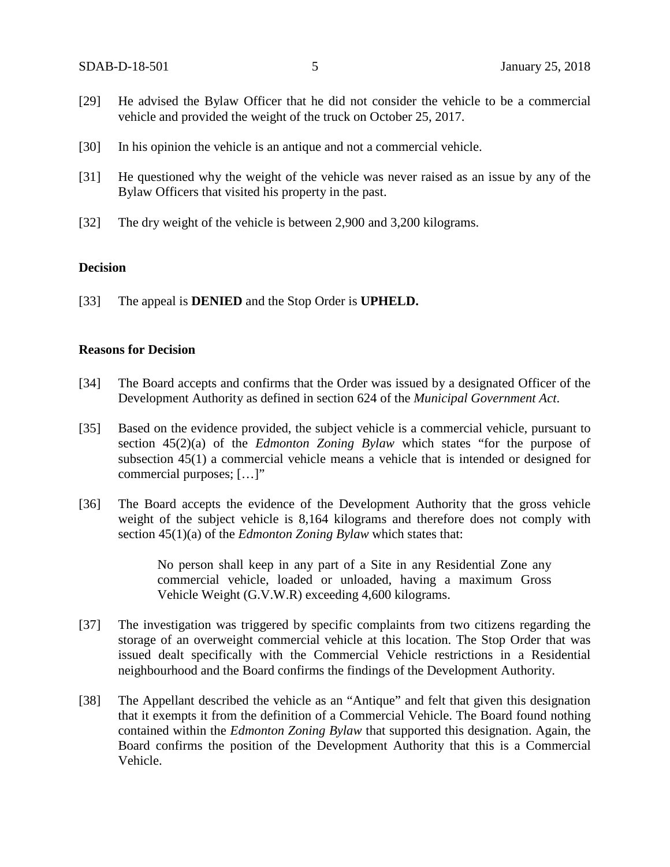- [29] He advised the Bylaw Officer that he did not consider the vehicle to be a commercial vehicle and provided the weight of the truck on October 25, 2017.
- [30] In his opinion the vehicle is an antique and not a commercial vehicle.
- [31] He questioned why the weight of the vehicle was never raised as an issue by any of the Bylaw Officers that visited his property in the past.
- [32] The dry weight of the vehicle is between 2,900 and 3,200 kilograms.

#### **Decision**

[33] The appeal is **DENIED** and the Stop Order is **UPHELD.**

#### **Reasons for Decision**

- [34] The Board accepts and confirms that the Order was issued by a designated Officer of the Development Authority as defined in section 624 of the *Municipal Government Act*.
- [35] Based on the evidence provided, the subject vehicle is a commercial vehicle, pursuant to section 45(2)(a) of the *Edmonton Zoning Bylaw* which states "for the purpose of subsection 45(1) a commercial vehicle means a vehicle that is intended or designed for commercial purposes; […]"
- [36] The Board accepts the evidence of the Development Authority that the gross vehicle weight of the subject vehicle is 8,164 kilograms and therefore does not comply with section 45(1)(a) of the *Edmonton Zoning Bylaw* which states that:

No person shall keep in any part of a Site in any Residential Zone any commercial vehicle, loaded or unloaded, having a maximum Gross Vehicle Weight (G.V.W.R) exceeding 4,600 kilograms.

- [37] The investigation was triggered by specific complaints from two citizens regarding the storage of an overweight commercial vehicle at this location. The Stop Order that was issued dealt specifically with the Commercial Vehicle restrictions in a Residential neighbourhood and the Board confirms the findings of the Development Authority.
- [38] The Appellant described the vehicle as an "Antique" and felt that given this designation that it exempts it from the definition of a Commercial Vehicle. The Board found nothing contained within the *Edmonton Zoning Bylaw* that supported this designation. Again, the Board confirms the position of the Development Authority that this is a Commercial Vehicle.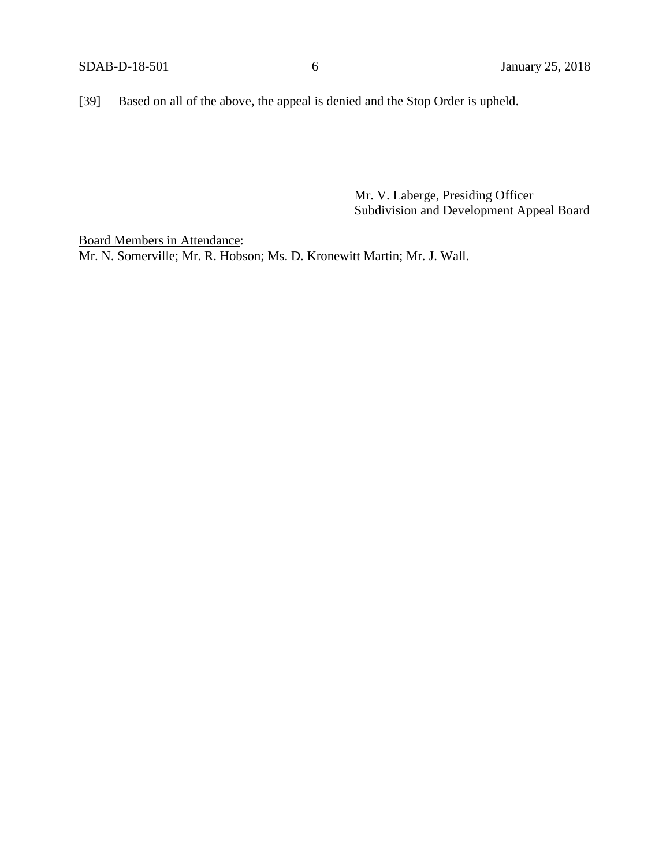[39] Based on all of the above, the appeal is denied and the Stop Order is upheld.

Mr. V. Laberge, Presiding Officer Subdivision and Development Appeal Board

Board Members in Attendance: Mr. N. Somerville; Mr. R. Hobson; Ms. D. Kronewitt Martin; Mr. J. Wall.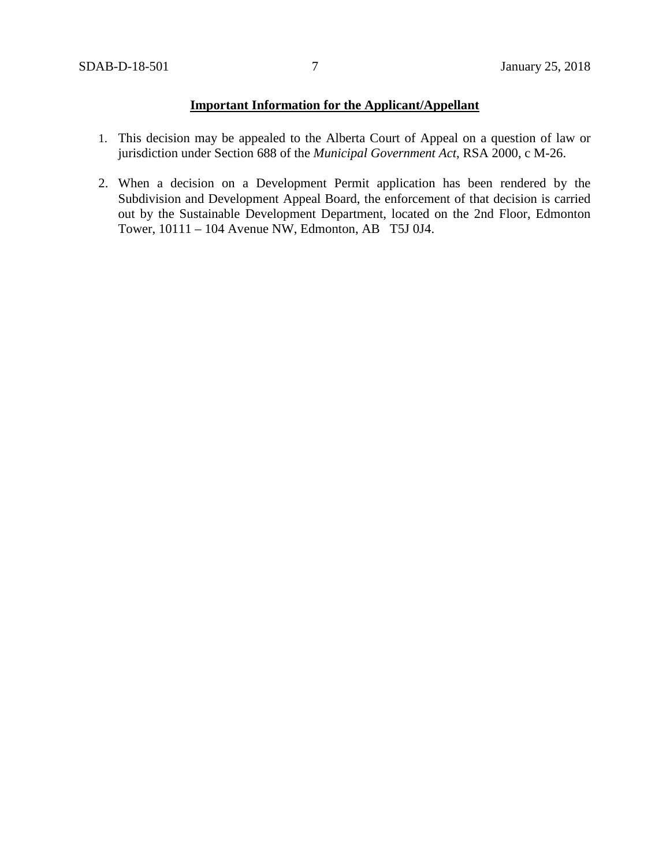## **Important Information for the Applicant/Appellant**

- 1. This decision may be appealed to the Alberta Court of Appeal on a question of law or jurisdiction under Section 688 of the *Municipal Government Act*, RSA 2000, c M-26.
- 2. When a decision on a Development Permit application has been rendered by the Subdivision and Development Appeal Board, the enforcement of that decision is carried out by the Sustainable Development Department, located on the 2nd Floor, Edmonton Tower, 10111 – 104 Avenue NW, Edmonton, AB T5J 0J4.